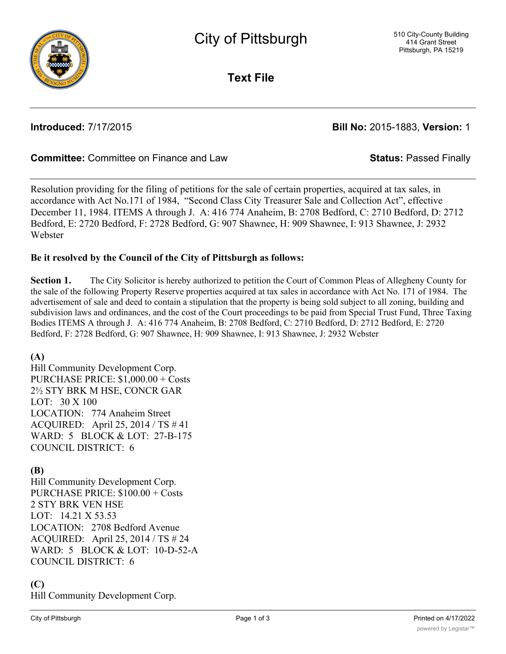

**Text File**

**Introduced:** 7/17/2015 **Bill No:** 2015-1883, **Version:** 1

# **Committee:** Committee on Finance and Law **Status:** Passed Finally

Resolution providing for the filing of petitions for the sale of certain properties, acquired at tax sales, in accordance with Act No.171 of 1984, "Second Class City Treasurer Sale and Collection Act", effective December 11, 1984. ITEMS A through J. A: 416 774 Anaheim, B: 2708 Bedford, C: 2710 Bedford, D: 2712 Bedford, E: 2720 Bedford, F: 2728 Bedford, G: 907 Shawnee, H: 909 Shawnee, I: 913 Shawnee, J: 2932 Webster

## **Be it resolved by the Council of the City of Pittsburgh as follows:**

**Section 1.** The City Solicitor is hereby authorized to petition the Court of Common Pleas of Allegheny County for the sale of the following Property Reserve properties acquired at tax sales in accordance with Act No. 171 of 1984. The advertisement of sale and deed to contain a stipulation that the property is being sold subject to all zoning, building and subdivision laws and ordinances, and the cost of the Court proceedings to be paid from Special Trust Fund, Three Taxing Bodies ITEMS A through J. A: 416 774 Anaheim, B: 2708 Bedford, C: 2710 Bedford, D: 2712 Bedford, E: 2720 Bedford, F: 2728 Bedford, G: 907 Shawnee, H: 909 Shawnee, I: 913 Shawnee, J: 2932 Webster

**(A)**

Hill Community Development Corp. PURCHASE PRICE: \$1,000.00 + Costs 2½ STY BRK M HSE, CONCR GAR LOT: 30 X 100 LOCATION: 774 Anaheim Street ACQUIRED: April 25, 2014 / TS # 41 WARD: 5 BLOCK & LOT: 27-B-175 COUNCIL DISTRICT: 6

## **(B)**

Hill Community Development Corp. PURCHASE PRICE: \$100.00 + Costs 2 STY BRK VEN HSE LOT: 14.21 X 53.53 LOCATION: 2708 Bedford Avenue ACQUIRED: April 25, 2014 / TS # 24 WARD: 5 BLOCK & LOT: 10-D-52-A COUNCIL DISTRICT: 6

# **(C)**

Hill Community Development Corp.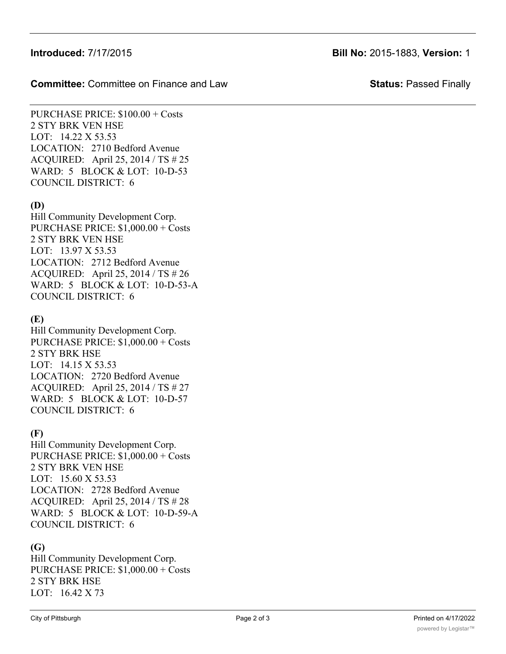## **Introduced:** 7/17/2015 **Bill No:** 2015-1883, **Version:** 1

**Committee:** Committee on Finance and Law **Status:** Passed Finally

PURCHASE PRICE: \$100.00 + Costs 2 STY BRK VEN HSE LOT: 14.22 X 53.53 LOCATION: 2710 Bedford Avenue ACQUIRED: April 25, 2014 / TS # 25 WARD: 5 BLOCK & LOT: 10-D-53 COUNCIL DISTRICT: 6

## **(D)**

Hill Community Development Corp. PURCHASE PRICE: \$1,000.00 + Costs 2 STY BRK VEN HSE LOT: 13.97 X 53.53 LOCATION: 2712 Bedford Avenue ACQUIRED: April 25, 2014 / TS # 26 WARD: 5 BLOCK & LOT: 10-D-53-A COUNCIL DISTRICT: 6

# **(E)**

Hill Community Development Corp. PURCHASE PRICE: \$1,000.00 + Costs 2 STY BRK HSE LOT: 14.15 X 53.53 LOCATION: 2720 Bedford Avenue ACQUIRED: April 25, 2014 / TS # 27 WARD: 5 BLOCK & LOT: 10-D-57 COUNCIL DISTRICT: 6

## **(F)**

Hill Community Development Corp. PURCHASE PRICE: \$1,000.00 + Costs 2 STY BRK VEN HSE LOT: 15.60 X 53.53 LOCATION: 2728 Bedford Avenue ACQUIRED: April 25, 2014 / TS # 28 WARD: 5 BLOCK & LOT: 10-D-59-A COUNCIL DISTRICT: 6

## **(G)**

Hill Community Development Corp. PURCHASE PRICE: \$1,000.00 + Costs 2 STY BRK HSE LOT: 16.42 X 73